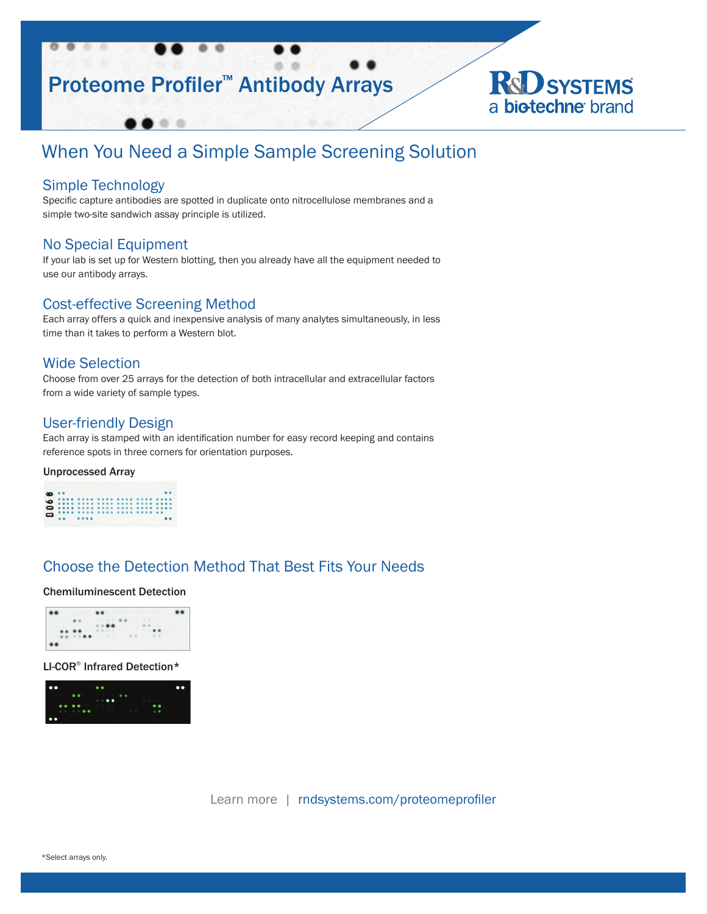



# When You Need a Simple Sample Screening Solution

## Simple Technology

Specific capture antibodies are spotted in duplicate onto nitrocellulose membranes and a simple two-site sandwich assay principle is utilized.

## No Special Equipment

If your lab is set up for Western blotting, then you already have all the equipment needed to use our antibody arrays.

## Cost-effective Screening Method

 $\circ$   $\circ$ 

Each array offers a quick and inexpensive analysis of many analytes simultaneously, in less time than it takes to perform a Western blot.

## Wide Selection

Choose from over 25 arrays for the detection of both intracellular and extracellular factors from a wide variety of sample types.

## User-friendly Design

Each array is stamped with an identification number for easy record keeping and contains reference spots in three corners for orientation purposes.

### Unprocessed Array

## Choose the Detection Method That Best Fits Your Needs

### Chemiluminescent Detection



LI-COR® Infrared Detection\*



Learn more | rndsystems.com/proteomeprofiler